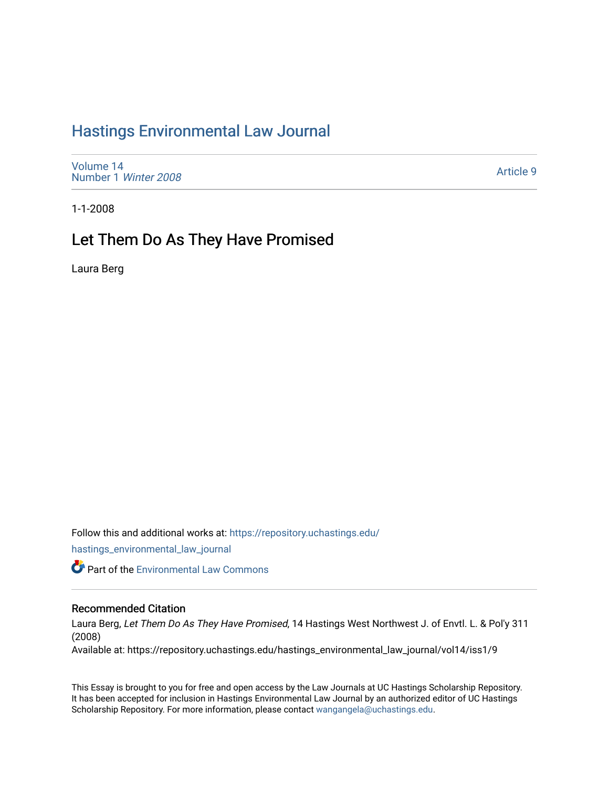# [Hastings Environmental Law Journal](https://repository.uchastings.edu/hastings_environmental_law_journal)

[Volume 14](https://repository.uchastings.edu/hastings_environmental_law_journal/vol14) [Number 1](https://repository.uchastings.edu/hastings_environmental_law_journal/vol14/iss1) Winter 2008

[Article 9](https://repository.uchastings.edu/hastings_environmental_law_journal/vol14/iss1/9) 

1-1-2008

# Let Them Do As They Have Promised

Laura Berg

Follow this and additional works at: [https://repository.uchastings.edu/](https://repository.uchastings.edu/hastings_environmental_law_journal?utm_source=repository.uchastings.edu%2Fhastings_environmental_law_journal%2Fvol14%2Fiss1%2F9&utm_medium=PDF&utm_campaign=PDFCoverPages)

[hastings\\_environmental\\_law\\_journal](https://repository.uchastings.edu/hastings_environmental_law_journal?utm_source=repository.uchastings.edu%2Fhastings_environmental_law_journal%2Fvol14%2Fiss1%2F9&utm_medium=PDF&utm_campaign=PDFCoverPages) 

**Part of the [Environmental Law Commons](http://network.bepress.com/hgg/discipline/599?utm_source=repository.uchastings.edu%2Fhastings_environmental_law_journal%2Fvol14%2Fiss1%2F9&utm_medium=PDF&utm_campaign=PDFCoverPages)** 

# Recommended Citation

Laura Berg, Let Them Do As They Have Promised, 14 Hastings West Northwest J. of Envtl. L. & Pol'y 311 (2008)

Available at: https://repository.uchastings.edu/hastings\_environmental\_law\_journal/vol14/iss1/9

This Essay is brought to you for free and open access by the Law Journals at UC Hastings Scholarship Repository. It has been accepted for inclusion in Hastings Environmental Law Journal by an authorized editor of UC Hastings Scholarship Repository. For more information, please contact [wangangela@uchastings.edu.](mailto:wangangela@uchastings.edu)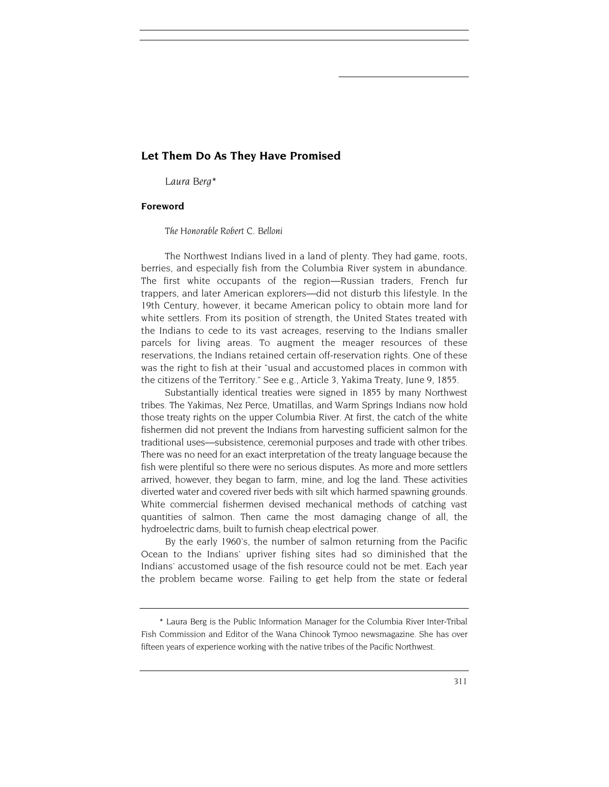## **Let Them Do As They Have Promised**

 *Laura Berg\** 

## **Foreword**

*The Honorable Robert C. Belloni*

The Northwest Indians lived in a land of plenty. They had game, roots, berries, and especially fish from the Columbia River system in abundance. The first white occupants of the region—Russian traders, French fur trappers, and later American explorers—did not disturb this lifestyle. In the 19th Century, however, it became American policy to obtain more land for white settlers. From its position of strength, the United States treated with the Indians to cede to its vast acreages, reserving to the Indians smaller parcels for living areas. To augment the meager resources of these reservations, the Indians retained certain off-reservation rights. One of these was the right to fish at their "usual and accustomed places in common with the citizens of the Territory." See e.g., Article 3, Yakima Treaty, June 9, 1855.

Substantially identical treaties were signed in 1855 by many Northwest tribes. The Yakimas, Nez Perce, Umatillas, and Warm Springs Indians now hold those treaty rights on the upper Columbia River. At first, the catch of the white fishermen did not prevent the Indians from harvesting sufficient salmon for the traditional uses—subsistence, ceremonial purposes and trade with other tribes. There was no need for an exact interpretation of the treaty language because the fish were plentiful so there were no serious disputes. As more and more settlers arrived, however, they began to farm, mine, and log the land. These activities diverted water and covered river beds with silt which harmed spawning grounds. White commercial fishermen devised mechanical methods of catching vast quantities of salmon. Then came the most damaging change of all, the hydroelectric dams, built to furnish cheap electrical power.

By the early 1960's, the number of salmon returning from the Pacific Ocean to the Indians' upriver fishing sites had so diminished that the Indians' accustomed usage of the fish resource could not be met. Each year the problem became worse. Failing to get help from the state or federal

<sup>\*</sup> Laura Berg is the Public Information Manager for the Columbia River Inter-Tribal Fish Commission and Editor of the Wana Chinook Tymoo newsmagazine. She has over fifteen years of experience working with the native tribes of the Pacific Northwest.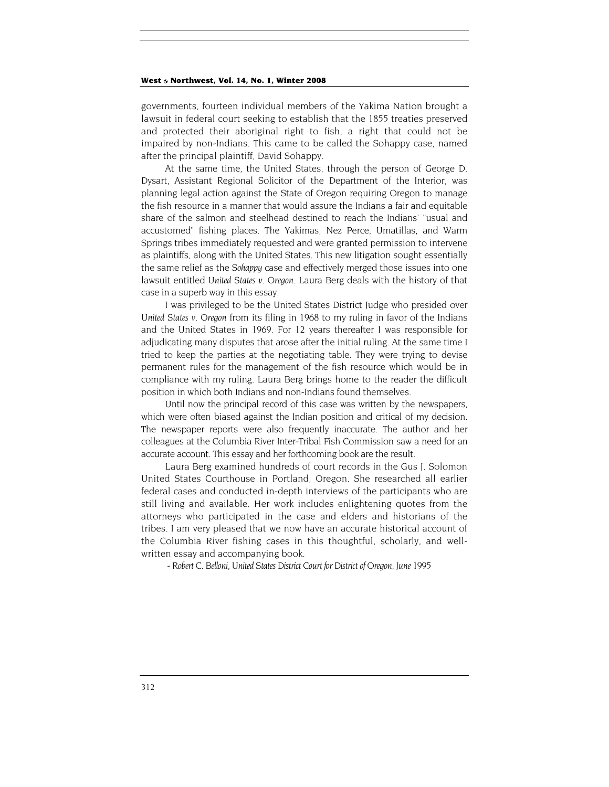governments, fourteen individual members of the Yakima Nation brought a lawsuit in federal court seeking to establish that the 1855 treaties preserved and protected their aboriginal right to fish, a right that could not be impaired by non-Indians. This came to be called the Sohappy case, named after the principal plaintiff, David Sohappy.

At the same time, the United States, through the person of George D. Dysart, Assistant Regional Solicitor of the Department of the Interior, was planning legal action against the State of Oregon requiring Oregon to manage the fish resource in a manner that would assure the Indians a fair and equitable share of the salmon and steelhead destined to reach the Indians' "usual and accustomed" fishing places. The Yakimas, Nez Perce, Umatillas, and Warm Springs tribes immediately requested and were granted permission to intervene as plaintiffs, along with the United States. This new litigation sought essentially the same relief as the *Sohappy* case and effectively merged those issues into one lawsuit entitled *United States v. Oregon*. Laura Berg deals with the history of that case in a superb way in this essay.

I was privileged to be the United States District Judge who presided over *United States v. Oregon* from its filing in 1968 to my ruling in favor of the Indians and the United States in 1969. For 12 years thereafter I was responsible for adjudicating many disputes that arose after the initial ruling. At the same time I tried to keep the parties at the negotiating table. They were trying to devise permanent rules for the management of the fish resource which would be in compliance with my ruling. Laura Berg brings home to the reader the difficult position in which both Indians and non-Indians found themselves.

Until now the principal record of this case was written by the newspapers, which were often biased against the Indian position and critical of my decision. The newspaper reports were also frequently inaccurate. The author and her colleagues at the Columbia River Inter-Tribal Fish Commission saw a need for an accurate account. This essay and her forthcoming book are the result.

Laura Berg examined hundreds of court records in the Gus J. Solomon United States Courthouse in Portland, Oregon. She researched all earlier federal cases and conducted in-depth interviews of the participants who are still living and available. Her work includes enlightening quotes from the attorneys who participated in the case and elders and historians of the tribes. I am very pleased that we now have an accurate historical account of the Columbia River fishing cases in this thoughtful, scholarly, and wellwritten essay and accompanying book.

- *Robert C. Belloni, United States District Court for District of Oregon, June 1995*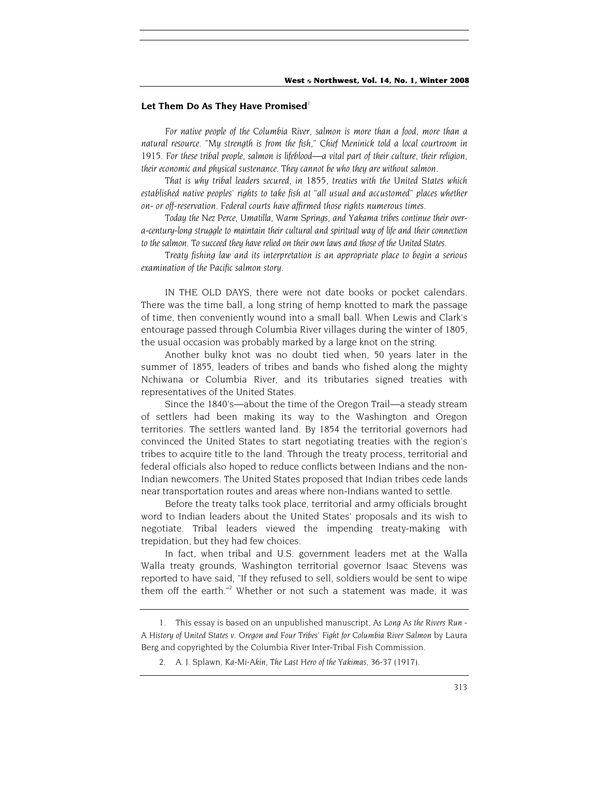#### Let Them Do As They Have Promised<sup>1</sup>

For native people of the Columbia River, salmon is more than a food, more than a *natural resource. "My strength is from the fish," Chief Meninick told a local courtroom in 1915. For these tribal people, salmon is lifeblood—a vital part of their culture, their religion, their economic and physical sustenance. They cannot be who they are without salmon.*

*That is why tribal leaders secured, in 1855, treaties with the United States which established native peoples' rights to take fish at "all usual and accustomed" places whether on- or off-reservation. Federal courts have affirmed those rights numerous times.*

*Today the Nez Perce, Umatilla, Warm Springs, and Yakama tribes continue their overa-century-long struggle to maintain their cultural and spiritual way of life and their connection to the salmon. To succeed they have relied on their own laws and those of the United States.*

*Treaty fishing law and its interpretation is an appropriate place to begin a serious examination of the Pacific salmon story.*

IN THE OLD DAYS, there were not date books or pocket calendars. There was the time ball, a long string of hemp knotted to mark the passage of time, then conveniently wound into a small ball. When Lewis and Clark's entourage passed through Columbia River villages during the winter of 1805, the usual occasion was probably marked by a large knot on the string.

Another bulky knot was no doubt tied when, 50 years later in the summer of 1855, leaders of tribes and bands who fished along the mighty Nchiwana or Columbia River, and its tributaries signed treaties with representatives of the United States.

Since the 1840's—about the time of the Oregon Trail—a steady stream of settlers had been making its way to the Washington and Oregon territories. The settlers wanted land. By 1854 the territorial governors had convinced the United States to start negotiating treaties with the region's tribes to acquire title to the land. Through the treaty process, territorial and federal officials also hoped to reduce conflicts between Indians and the non-Indian newcomers. The United States proposed that Indian tribes cede lands near transportation routes and areas where non-Indians wanted to settle.

Before the treaty talks took place, territorial and army officials brought word to Indian leaders about the United States' proposals and its wish to negotiate. Tribal leaders viewed the impending treaty-making with trepidation, but they had few choices.

In fact, when tribal and U.S. government leaders met at the Walla Walla treaty grounds, Washington territorial governor Isaac Stevens was reported to have said, "If they refused to sell, soldiers would be sent to wipe them off the earth."<sup>2</sup> Whether or not such a statement was made, it was

<sup>1.</sup> This essay is based on an unpublished manuscript, *As Long As the Rivers Run - A History of United States v. Oregon and Four Tribes' Fight for Columbia River Salmon* by Laura Berg and copyrighted by the Columbia River Inter-Tribal Fish Commission.

<sup>2.</sup> A. J. Splawn, *Ka-Mi-Akin, The Last Hero of the Yakimas*, 36-37 (1917).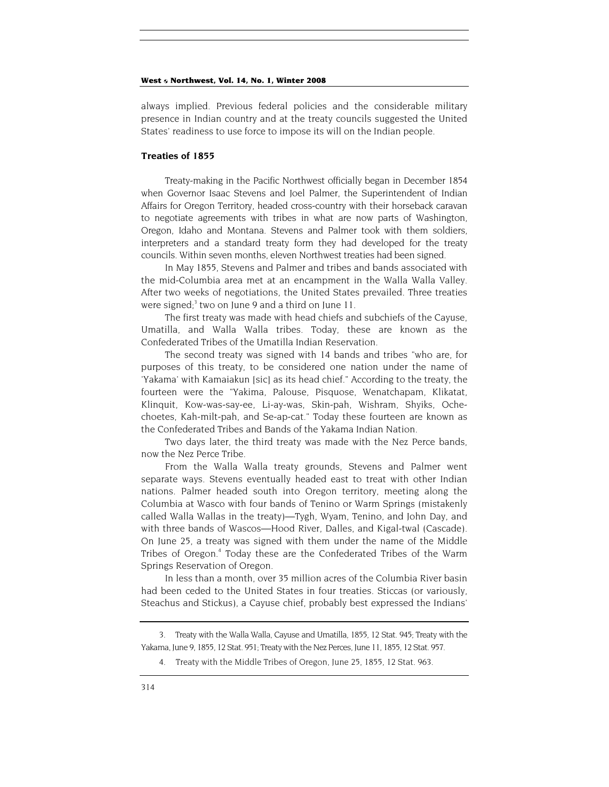always implied. Previous federal policies and the considerable military presence in Indian country and at the treaty councils suggested the United States' readiness to use force to impose its will on the Indian people.

## **Treaties of 1855**

Treaty-making in the Pacific Northwest officially began in December 1854 when Governor Isaac Stevens and Joel Palmer, the Superintendent of Indian Affairs for Oregon Territory, headed cross-country with their horseback caravan to negotiate agreements with tribes in what are now parts of Washington, Oregon, Idaho and Montana. Stevens and Palmer took with them soldiers, interpreters and a standard treaty form they had developed for the treaty councils. Within seven months, eleven Northwest treaties had been signed.

In May 1855, Stevens and Palmer and tribes and bands associated with the mid-Columbia area met at an encampment in the Walla Walla Valley. After two weeks of negotiations, the United States prevailed. Three treaties were signed;<sup>3</sup> two on June 9 and a third on June 11.

The first treaty was made with head chiefs and subchiefs of the Cayuse, Umatilla, and Walla Walla tribes. Today, these are known as the Confederated Tribes of the Umatilla Indian Reservation.

The second treaty was signed with 14 bands and tribes "who are, for purposes of this treaty, to be considered one nation under the name of 'Yakama' with Kamaiakun [sic] as its head chief." According to the treaty, the fourteen were the "Yakima, Palouse, Pisquose, Wenatchapam, Klikatat, Klinquit, Kow-was-say-ee, Li-ay-was, Skin-pah, Wishram, Shyiks, Ochechoetes, Kah-milt-pah, and Se-ap-cat." Today these fourteen are known as the Confederated Tribes and Bands of the Yakama Indian Nation.

Two days later, the third treaty was made with the Nez Perce bands, now the Nez Perce Tribe.

From the Walla Walla treaty grounds, Stevens and Palmer went separate ways. Stevens eventually headed east to treat with other Indian nations. Palmer headed south into Oregon territory, meeting along the Columbia at Wasco with four bands of Tenino or Warm Springs (mistakenly called Walla Wallas in the treaty)—Tygh, Wyam, Tenino, and John Day, and with three bands of Wascos—Hood River, Dalles, and Kigal-twal (Cascade). On June 25, a treaty was signed with them under the name of the Middle Tribes of Oregon.<sup>4</sup> Today these are the Confederated Tribes of the Warm Springs Reservation of Oregon.

In less than a month, over 35 million acres of the Columbia River basin had been ceded to the United States in four treaties. Sticcas (or variously, Steachus and Stickus), a Cayuse chief, probably best expressed the Indians'

<sup>3.</sup> Treaty with the Walla Walla, Cayuse and Umatilla, 1855, 12 Stat. 945; Treaty with the Yakama, June 9, 1855, 12 Stat. 951; Treaty with the Nez Perces, June 11, 1855, 12 Stat. 957.

<sup>4.</sup> Treaty with the Middle Tribes of Oregon, June 25, 1855, 12 Stat. 963.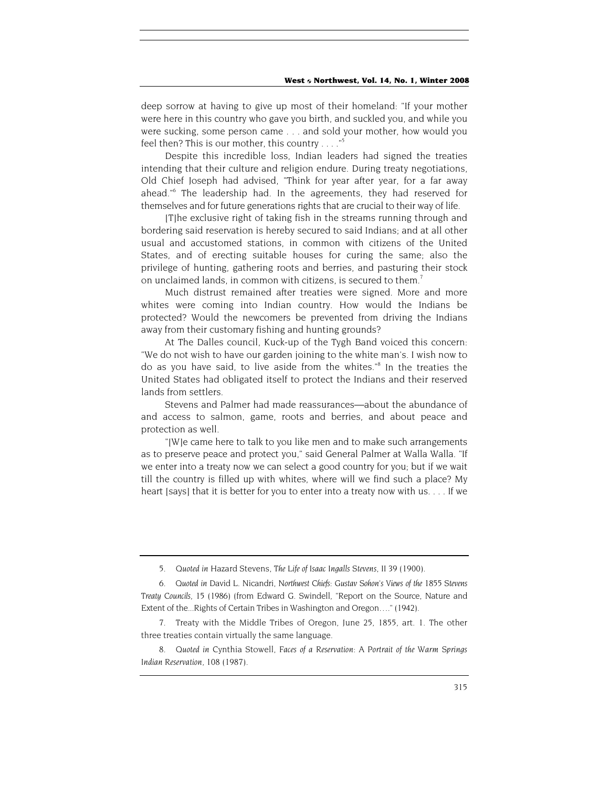deep sorrow at having to give up most of their homeland: "If your mother were here in this country who gave you birth, and suckled you, and while you were sucking, some person came . . . and sold your mother, how would you feel then? This is our mother, this country  $\ldots$ ."<sup>5</sup>

Despite this incredible loss, Indian leaders had signed the treaties intending that their culture and religion endure. During treaty negotiations, Old Chief Joseph had advised, "Think for year after year, for a far away ahead."6 The leadership had. In the agreements, they had reserved for themselves and for future generations rights that are crucial to their way of life.

[T]he exclusive right of taking fish in the streams running through and bordering said reservation is hereby secured to said Indians; and at all other usual and accustomed stations, in common with citizens of the United States, and of erecting suitable houses for curing the same; also the privilege of hunting, gathering roots and berries, and pasturing their stock on unclaimed lands, in common with citizens, is secured to them.<sup>7</sup>

Much distrust remained after treaties were signed. More and more whites were coming into Indian country. How would the Indians be protected? Would the newcomers be prevented from driving the Indians away from their customary fishing and hunting grounds?

At The Dalles council, Kuck-up of the Tygh Band voiced this concern: "We do not wish to have our garden joining to the white man's. I wish now to do as you have said, to live aside from the whites."<sup>8</sup> In the treaties the United States had obligated itself to protect the Indians and their reserved lands from settlers.

Stevens and Palmer had made reassurances—about the abundance of and access to salmon, game, roots and berries, and about peace and protection as well.

"[W]e came here to talk to you like men and to make such arrangements as to preserve peace and protect you," said General Palmer at Walla Walla. "If we enter into a treaty now we can select a good country for you; but if we wait till the country is filled up with whites, where will we find such a place? My heart [says] that it is better for you to enter into a treaty now with us. . . . If we

<sup>5</sup>*. Quoted in* Hazard Stevens, *The Life of Isaac Ingalls Stevens,* II 39 (1900).

<sup>6</sup>*. Quoted in* David L. Nicandri, *Northwest Chiefs: Gustav Sohon's Views of the* 1855 *Stevens Treaty Councils*, 15 (1986) (from Edward G. Swindell, "Report on the Source, Nature and Extent of the...Rights of Certain Tribes in Washington and Oregon…." (1942).

<sup>7.</sup> Treaty with the Middle Tribes of Oregon, June 25, 1855, art. 1. The other three treaties contain virtually the same language.

<sup>8</sup>*. Quoted in* Cynthia Stowell, *Faces of a Reservation: A Portrait of the Warm Springs Indian Reservation*, 108 (1987).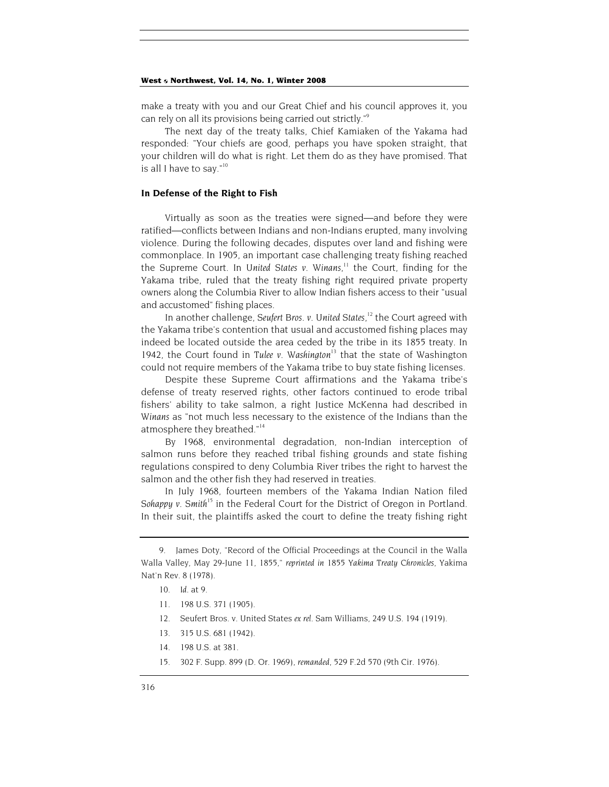make a treaty with you and our Great Chief and his council approves it, you can rely on all its provisions being carried out strictly."9

The next day of the treaty talks, Chief Kamiaken of the Yakama had responded: "Your chiefs are good, perhaps you have spoken straight, that your children will do what is right. Let them do as they have promised. That is all I have to say."<sup>10</sup>

## **In Defense of the Right to Fish**

Virtually as soon as the treaties were signed—and before they were ratified—conflicts between Indians and non-Indians erupted, many involving violence. During the following decades, disputes over land and fishing were commonplace. In 1905, an important case challenging treaty fishing reached the Supreme Court. In *United States v. Winans*, 11 the Court, finding for the Yakama tribe, ruled that the treaty fishing right required private property owners along the Columbia River to allow Indian fishers access to their "usual and accustomed" fishing places.

In another challenge, *Seufert Bros. v. United States*, 12 the Court agreed with the Yakama tribe's contention that usual and accustomed fishing places may indeed be located outside the area ceded by the tribe in its 1855 treaty. In 1942, the Court found in *Tulee v. Washington*<sup>13</sup> that the state of Washington could not require members of the Yakama tribe to buy state fishing licenses.

Despite these Supreme Court affirmations and the Yakama tribe's defense of treaty reserved rights, other factors continued to erode tribal fishers' ability to take salmon, a right Justice McKenna had described in *Winans* as "not much less necessary to the existence of the Indians than the atmosphere they breathed."<sup>14</sup>

By 1968, environmental degradation, non-Indian interception of salmon runs before they reached tribal fishing grounds and state fishing regulations conspired to deny Columbia River tribes the right to harvest the salmon and the other fish they had reserved in treaties.

In July 1968, fourteen members of the Yakama Indian Nation filed *Sohappy v. Smith*<sup>15</sup> in the Federal Court for the District of Oregon in Portland. In their suit, the plaintiffs asked the court to define the treaty fishing right

- 13. 315 U.S. 681 (1942).
- 14. 198 U.S. at 381.
- 15. 302 F. Supp. 899 (D. Or. 1969), *remanded*, 529 F.2d 570 (9th Cir. 1976).

<sup>9.</sup> James Doty, "Record of the Official Proceedings at the Council in the Walla Walla Valley, May 29-June 11, 1855," *reprinted in* 1855 *Yakima Treaty Chronicles*, Yakima Nat'n Rev. 8 (1978).

<sup>10</sup>*. Id.* at 9.

<sup>11. 198</sup> U.S. 371 (1905).

<sup>12.</sup> Seufert Bros. v. United States *ex rel.* Sam Williams, 249 U.S. 194 (1919).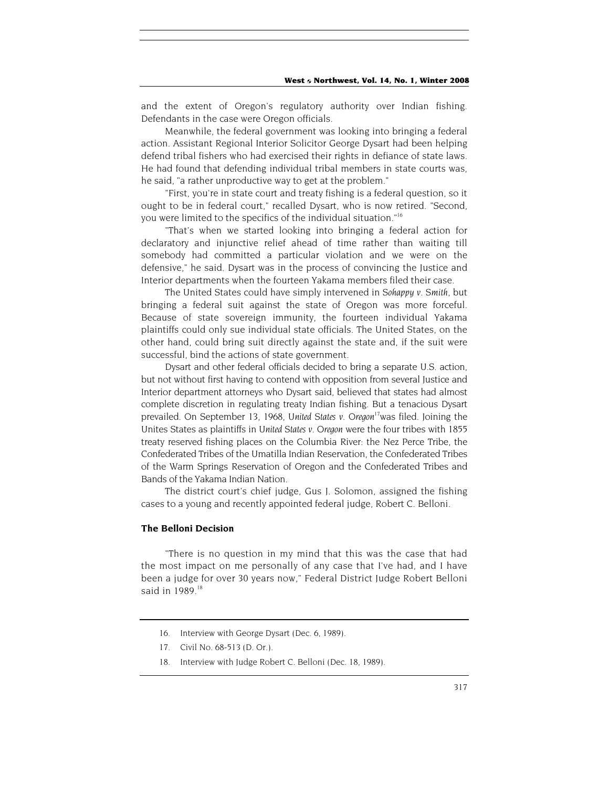and the extent of Oregon's regulatory authority over Indian fishing. Defendants in the case were Oregon officials.

Meanwhile, the federal government was looking into bringing a federal action. Assistant Regional Interior Solicitor George Dysart had been helping defend tribal fishers who had exercised their rights in defiance of state laws. He had found that defending individual tribal members in state courts was, he said, "a rather unproductive way to get at the problem."

"First, you're in state court and treaty fishing is a federal question, so it ought to be in federal court," recalled Dysart, who is now retired. "Second, you were limited to the specifics of the individual situation."16

"That's when we started looking into bringing a federal action for declaratory and injunctive relief ahead of time rather than waiting till somebody had committed a particular violation and we were on the defensive," he said. Dysart was in the process of convincing the Justice and Interior departments when the fourteen Yakama members filed their case.

The United States could have simply intervened in *Sohappy v. Smith*, but bringing a federal suit against the state of Oregon was more forceful. Because of state sovereign immunity, the fourteen individual Yakama plaintiffs could only sue individual state officials. The United States, on the other hand, could bring suit directly against the state and, if the suit were successful, bind the actions of state government.

Dysart and other federal officials decided to bring a separate U.S. action, but not without first having to contend with opposition from several Justice and Interior department attorneys who Dysart said, believed that states had almost complete discretion in regulating treaty Indian fishing. But a tenacious Dysart prevailed. On September 13, 1968, *United States v. Oregon*17was filed. Joining the Unites States as plaintiffs in *United States v. Oregon* were the four tribes with 1855 treaty reserved fishing places on the Columbia River: the Nez Perce Tribe, the Confederated Tribes of the Umatilla Indian Reservation, the Confederated Tribes of the Warm Springs Reservation of Oregon and the Confederated Tribes and Bands of the Yakama Indian Nation.

The district court's chief judge, Gus J. Solomon, assigned the fishing cases to a young and recently appointed federal judge, Robert C. Belloni.

## **The Belloni Decision**

"There is no question in my mind that this was the case that had the most impact on me personally of any case that I've had, and I have been a judge for over 30 years now," Federal District Judge Robert Belloni said in 1989.<sup>18</sup>

<sup>16.</sup> Interview with George Dysart (Dec. 6, 1989).

<sup>17.</sup> Civil No. 68-513 (D. Or.).

<sup>18.</sup> Interview with Judge Robert C. Belloni (Dec. 18, 1989).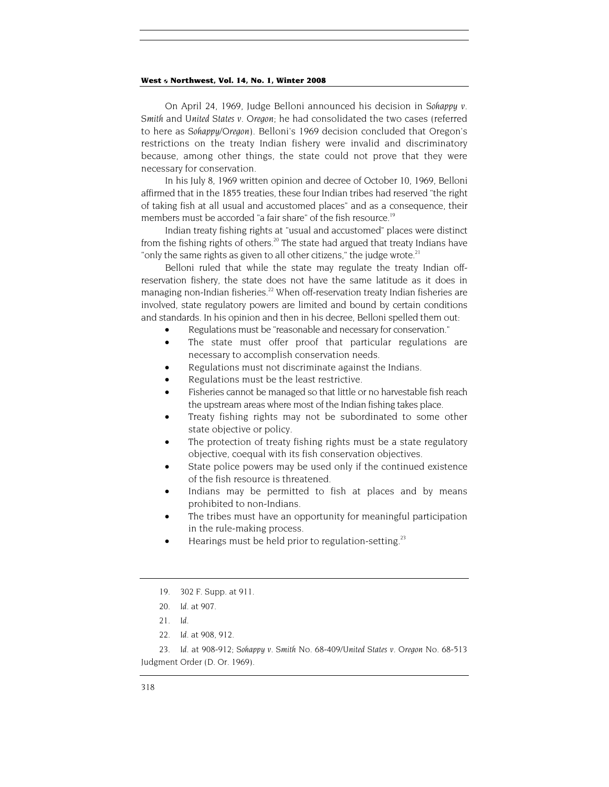On April 24, 1969, Judge Belloni announced his decision in *Sohappy v. Smith* and *United States v. Oregon*; he had consolidated the two cases (referred to here as *Sohappy/Oregon*). Belloni's 1969 decision concluded that Oregon's restrictions on the treaty Indian fishery were invalid and discriminatory because, among other things, the state could not prove that they were necessary for conservation.

In his July 8, 1969 written opinion and decree of October 10, 1969, Belloni affirmed that in the 1855 treaties, these four Indian tribes had reserved "the right of taking fish at all usual and accustomed places" and as a consequence, their members must be accorded "a fair share" of the fish resource.<sup>19</sup>

Indian treaty fishing rights at "usual and accustomed" places were distinct from the fishing rights of others.<sup>20</sup> The state had argued that treaty Indians have "only the same rights as given to all other citizens," the judge wrote. $21$ 

Belloni ruled that while the state may regulate the treaty Indian offreservation fishery, the state does not have the same latitude as it does in managing non-Indian fisheries.<sup>22</sup> When off-reservation treaty Indian fisheries are involved, state regulatory powers are limited and bound by certain conditions and standards. In his opinion and then in his decree, Belloni spelled them out:

- Regulations must be "reasonable and necessary for conservation."
- The state must offer proof that particular regulations are necessary to accomplish conservation needs.
- Regulations must not discriminate against the Indians.
- Regulations must be the least restrictive.
- Fisheries cannot be managed so that little or no harvestable fish reach the upstream areas where most of the Indian fishing takes place.
- Treaty fishing rights may not be subordinated to some other state objective or policy.
- The protection of treaty fishing rights must be a state regulatory objective, coequal with its fish conservation objectives.
- State police powers may be used only if the continued existence of the fish resource is threatened.
- Indians may be permitted to fish at places and by means prohibited to non-Indians.
- The tribes must have an opportunity for meaningful participation in the rule-making process.
- Hearings must be held prior to regulation-setting.<sup>23</sup>

<sup>19. 302</sup> F. Supp. at 911.

<sup>20</sup>*. Id.* at 907.

<sup>21</sup>*. Id.*

<sup>22</sup>*. Id.* at 908, 912.

<sup>23</sup>*. Id.* at 908-912; *Sohappy v. Smith* No. 68-409/*United States v. Oregon* No. 68-513 Judgment Order (D. Or. 1969).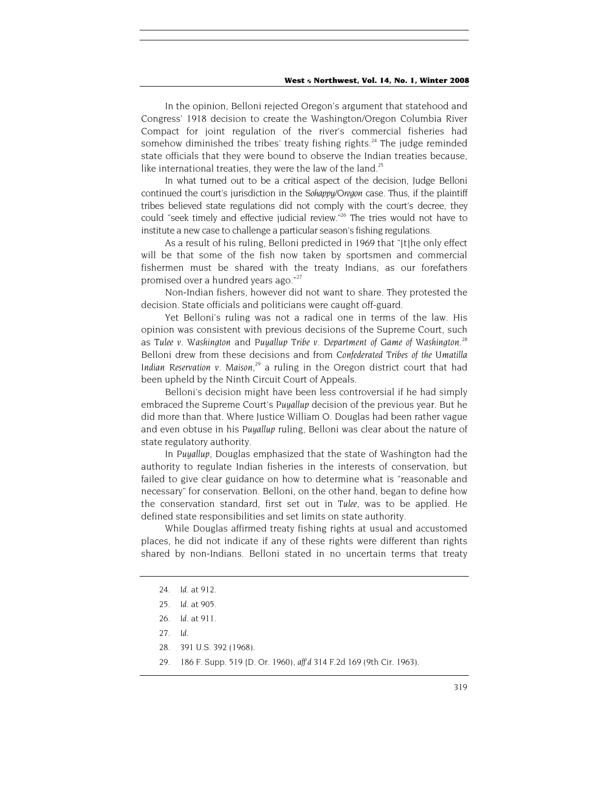In the opinion, Belloni rejected Oregon's argument that statehood and Congress' 1918 decision to create the Washington/Oregon Columbia River Compact for joint regulation of the river's commercial fisheries had somehow diminished the tribes' treaty fishing rights.<sup>24</sup> The judge reminded state officials that they were bound to observe the Indian treaties because, like international treaties, they were the law of the land. $25$ 

In what turned out to be a critical aspect of the decision, Judge Belloni continued the court's jurisdiction in the *Sohappy/Oregon* case. Thus, if the plaintiff tribes believed state regulations did not comply with the court's decree, they could "seek timely and effective judicial review."<sup>26</sup> The tries would not have to institute a new case to challenge a particular season's fishing regulations.

As a result of his ruling, Belloni predicted in 1969 that "[t]he only effect will be that some of the fish now taken by sportsmen and commercial fishermen must be shared with the treaty Indians, as our forefathers promised over a hundred years ago."<sup>27</sup>

Non-Indian fishers, however did not want to share. They protested the decision. State officials and politicians were caught off-guard.

Yet Belloni's ruling was not a radical one in terms of the law. His opinion was consistent with previous decisions of the Supreme Court, such as Tulee v. Washington and Puyallup Tribe v. Department of Game of Washington.<sup>28</sup> Belloni drew from these decisions and from *Confederated Tribes of the Umatilla Indian Reservation v. Maison*, 29 a ruling in the Oregon district court that had been upheld by the Ninth Circuit Court of Appeals.

Belloni's decision might have been less controversial if he had simply embraced the Supreme Court's *Puyallup* decision of the previous year. But he did more than that. Where Justice William O. Douglas had been rather vague and even obtuse in his *Puyallup* ruling, Belloni was clear about the nature of state regulatory authority.

In *Puyallup*, Douglas emphasized that the state of Washington had the authority to regulate Indian fisheries in the interests of conservation, but failed to give clear guidance on how to determine what is "reasonable and necessary" for conservation. Belloni, on the other hand, began to define how the conservation standard, first set out in *Tulee*, was to be applied. He defined state responsibilities and set limits on state authority.

While Douglas affirmed treaty fishing rights at usual and accustomed places, he did not indicate if any of these rights were different than rights shared by non-Indians. Belloni stated in no uncertain terms that treaty

- 28. 391 U.S. 392 (1968).
- 29. 186 F. Supp. 519 {D. Or. 1960), *aff'd* 314 F.2d 169 (9th Cir. 1963).

<sup>24</sup>*. Id.* at 912.

<sup>25</sup>*. Id.* at 905.

<sup>26</sup>*. Id.* at 911.

<sup>27</sup>*. Id.*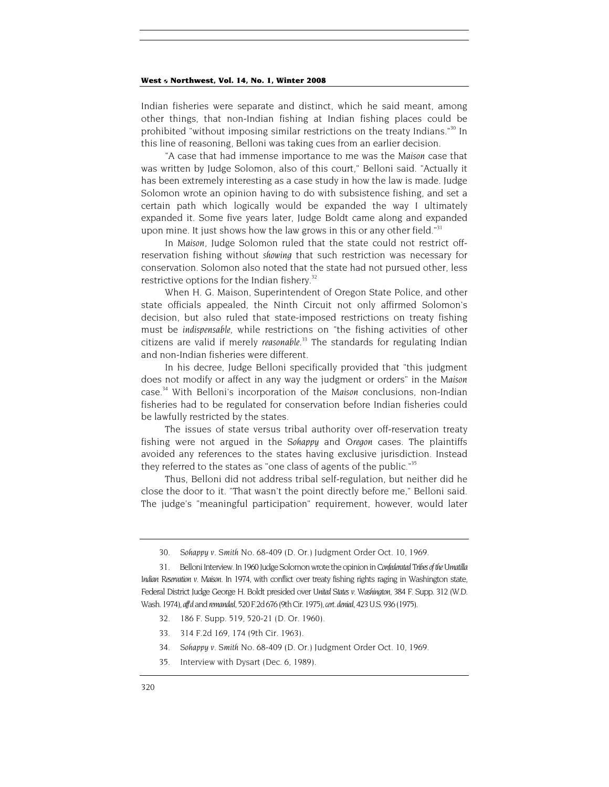Indian fisheries were separate and distinct, which he said meant, among other things, that non-Indian fishing at Indian fishing places could be prohibited "without imposing similar restrictions on the treaty Indians."<sup>30</sup> In this line of reasoning, Belloni was taking cues from an earlier decision.

"A case that had immense importance to me was the *Maison* case that was written by Judge Solomon, also of this court," Belloni said. "Actually it has been extremely interesting as a case study in how the law is made. Judge Solomon wrote an opinion having to do with subsistence fishing, and set a certain path which logically would be expanded the way I ultimately expanded it. Some five years later, Judge Boldt came along and expanded upon mine. It just shows how the law grows in this or any other field." $31$ 

In *Maison*, Judge Solomon ruled that the state could not restrict offreservation fishing without *showing* that such restriction was necessary for conservation. Solomon also noted that the state had not pursued other, less restrictive options for the Indian fishery.<sup>32</sup>

When H. G. Maison, Superintendent of Oregon State Police, and other state officials appealed, the Ninth Circuit not only affirmed Solomon's decision, but also ruled that state-imposed restrictions on treaty fishing must be *indispensable*, while restrictions on "the fishing activities of other citizens are valid if merely *reasonable*. 33 The standards for regulating Indian and non-Indian fisheries were different.

In his decree, Judge Belloni specifically provided that "this judgment does not modify or affect in any way the judgment or orders" in the *Maison* case.34 With Belloni's incorporation of the *Maison* conclusions, non-Indian fisheries had to be regulated for conservation before Indian fisheries could be lawfully restricted by the states.

The issues of state versus tribal authority over off-reservation treaty fishing were not argued in the *Sohappy* and *Oregon* cases. The plaintiffs avoided any references to the states having exclusive jurisdiction. Instead they referred to the states as "one class of agents of the public."<sup>35</sup>

Thus, Belloni did not address tribal self-regulation, but neither did he close the door to it. "That wasn't the point directly before me," Belloni said. The judge's "meaningful participation" requirement, however, would later

- 32. 186 F. Supp. 519, 520-21 (D. Or. 1960).
- 33. 314 F.2d 169, 174 (9th Cir. 1963).
- 34*. Sohappy v. Smith* No. 68-409 (D. Or.) Judgment Order Oct. 10, 1969.
- 35. Interview with Dysart (Dec. 6, 1989).

<sup>30</sup>*. Sohappy v. Smith* No. 68-409 (D. Or.) Judgment Order Oct. 10, 1969.

<sup>31.</sup> Belloni Interview. In 1960 Judge Solomon wrote the opinion in *Confederated Tribes of the Umatilla Indian Reservation v. Maison*. In 1974, with conflict over treaty fishing rights raging in Washington state, Federal District Judge George H. Boldt presided over *United States v. Washington*, 384 F. Supp. 312 (W.D. Wash. 1974), *aff'd* and *remanded*, 520 F.2d 676 (9th Cir. 1975), *cert. denied*, 423 U.S. 936 (1975).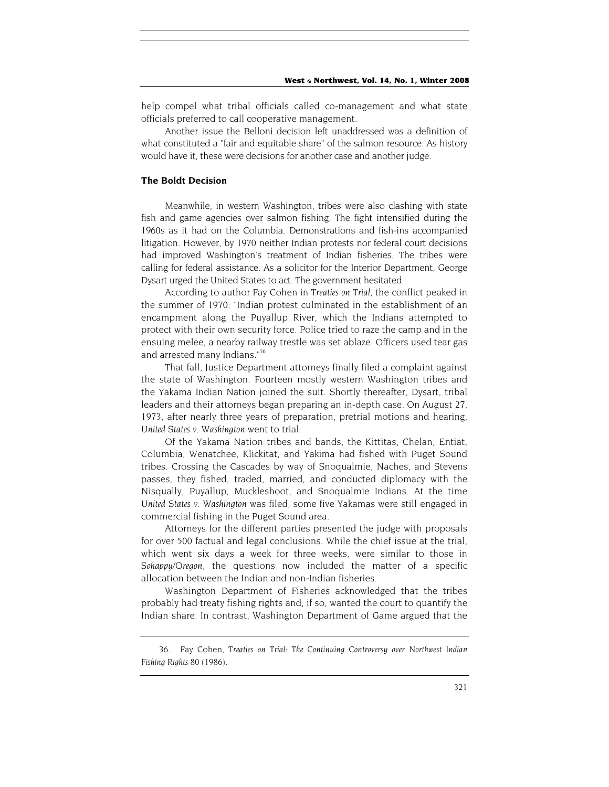help compel what tribal officials called co-management and what state officials preferred to call cooperative management.

Another issue the Belloni decision left unaddressed was a definition of what constituted a "fair and equitable share" of the salmon resource. As history would have it, these were decisions for another case and another judge.

## **The Boldt Decision**

Meanwhile, in western Washington, tribes were also clashing with state fish and game agencies over salmon fishing. The fight intensified during the 1960s as it had on the Columbia. Demonstrations and fish-ins accompanied litigation. However, by 1970 neither Indian protests nor federal court decisions had improved Washington's treatment of Indian fisheries. The tribes were calling for federal assistance. As a solicitor for the Interior Department, George Dysart urged the United States to act. The government hesitated.

According to author Fay Cohen in *Treaties on Trial*, the conflict peaked in the summer of 1970: "Indian protest culminated in the establishment of an encampment along the Puyallup River, which the Indians attempted to protect with their own security force. Police tried to raze the camp and in the ensuing melee, a nearby railway trestle was set ablaze. Officers used tear gas and arrested many Indians."<sup>36</sup>

That fall, Justice Department attorneys finally filed a complaint against the state of Washington. Fourteen mostly western Washington tribes and the Yakama Indian Nation joined the suit. Shortly thereafter, Dysart, tribal leaders and their attorneys began preparing an in-depth case. On August 27, 1973, after nearly three years of preparation, pretrial motions and hearing, *United States v. Washington* went to trial.

Of the Yakama Nation tribes and bands, the Kittitas, Chelan, Entiat, Columbia, Wenatchee, Klickitat, and Yakima had fished with Puget Sound tribes. Crossing the Cascades by way of Snoqualmie, Naches, and Stevens passes, they fished, traded, married, and conducted diplomacy with the Nisqually, Puyallup, Muckleshoot, and Snoqualmie Indians. At the time *United States v. Washington* was filed, some five Yakamas were still engaged in commercial fishing in the Puget Sound area.

Attorneys for the different parties presented the judge with proposals for over 500 factual and legal conclusions. While the chief issue at the trial, which went six days a week for three weeks, were similar to those in *Sohappy/Oregon*, the questions now included the matter of a specific allocation between the Indian and non-Indian fisheries.

Washington Department of Fisheries acknowledged that the tribes probably had treaty fishing rights and, if so, wanted the court to quantify the Indian share. In contrast, Washington Department of Game argued that the

<sup>36.</sup> Fay Cohen, *Treaties on Trial: The Continuing Controversy over Northwest Indian Fishing Rights* 80 (1986).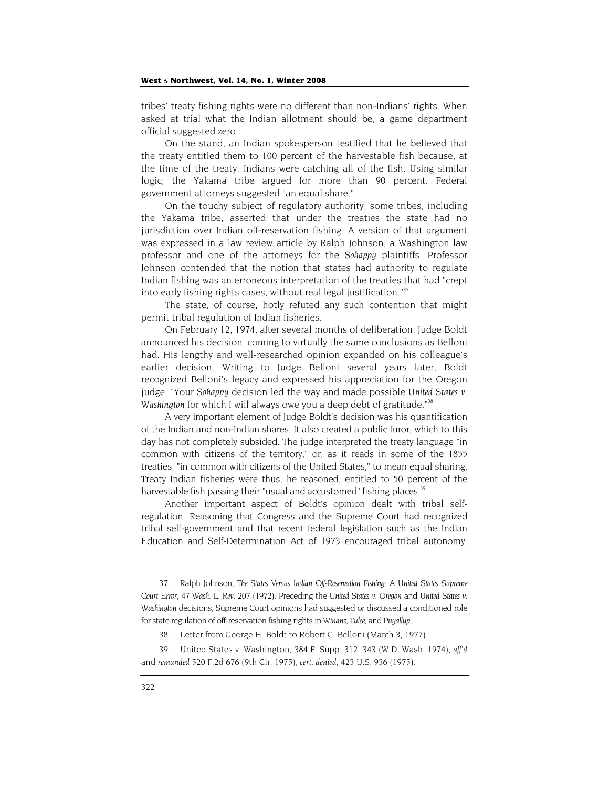tribes' treaty fishing rights were no different than non-Indians' rights. When asked at trial what the Indian allotment should be, a game department official suggested zero.

On the stand, an Indian spokesperson testified that he believed that the treaty entitled them to 100 percent of the harvestable fish because, at the time of the treaty, Indians were catching all of the fish. Using similar logic, the Yakama tribe argued for more than 90 percent. Federal government attorneys suggested "an equal share."

On the touchy subject of regulatory authority, some tribes, including the Yakama tribe, asserted that under the treaties the state had no jurisdiction over Indian off-reservation fishing. A version of that argument was expressed in a law review article by Ralph Johnson, a Washington law professor and one of the attorneys for the *Sohappy* plaintiffs. Professor Johnson contended that the notion that states had authority to regulate Indian fishing was an erroneous interpretation of the treaties that had "crept into early fishing rights cases, without real legal justification. $37$ 

The state, of course, hotly refuted any such contention that might permit tribal regulation of Indian fisheries.

On February 12, 1974, after several months of deliberation, Judge Boldt announced his decision, coming to virtually the same conclusions as Belloni had. His lengthy and well-researched opinion expanded on his colleague's earlier decision. Writing to Judge Belloni several years later, Boldt recognized Belloni's legacy and expressed his appreciation for the Oregon judge: "Your *Sohappy* decision led the way and made possible *United States v. Washington* for which I will always owe you a deep debt of gratitude."38

A very important element of Judge Boldt's decision was his quantification of the Indian and non-Indian shares. It also created a public furor, which to this day has not completely subsided. The judge interpreted the treaty language "in common with citizens of the territory," or, as it reads in some of the 1855 treaties, "in common with citizens of the United States," to mean equal sharing. Treaty Indian fisheries were thus, he reasoned, entitled to 50 percent of the harvestable fish passing their "usual and accustomed" fishing places.<sup>39</sup>

Another important aspect of Boldt's opinion dealt with tribal selfregulation. Reasoning that Congress and the Supreme Court had recognized tribal self-government and that recent federal legislation such as the Indian Education and Self-Determination Act of 1973 encouraged tribal autonomy.

<sup>37.</sup> Ralph Johnson, *The States Versus Indian Off-Reservation Fishing: A United States Supreme Court Error*, 47 *Wash. L. Rev.* 207 (1972). Preceding the *United States v. Oregon* and *United States v. Washington* decisions, Supreme Court opinions had suggested or discussed a conditioned role for state regulation of off-reservation fishing rights in *Winans, Tulee,* and *Puyallup*.

<sup>38.</sup> Letter from George H. Boldt to Robert C. Belloni (March 3, 1977).

<sup>39.</sup> United States v. Washington, 384 F. Supp. 312, 343 (W.D. Wash. 1974), *aff'd* and *remanded* 520 F.2d 676 (9th Cir. 1975), *cert. denied*, 423 U.S. 936 (1975).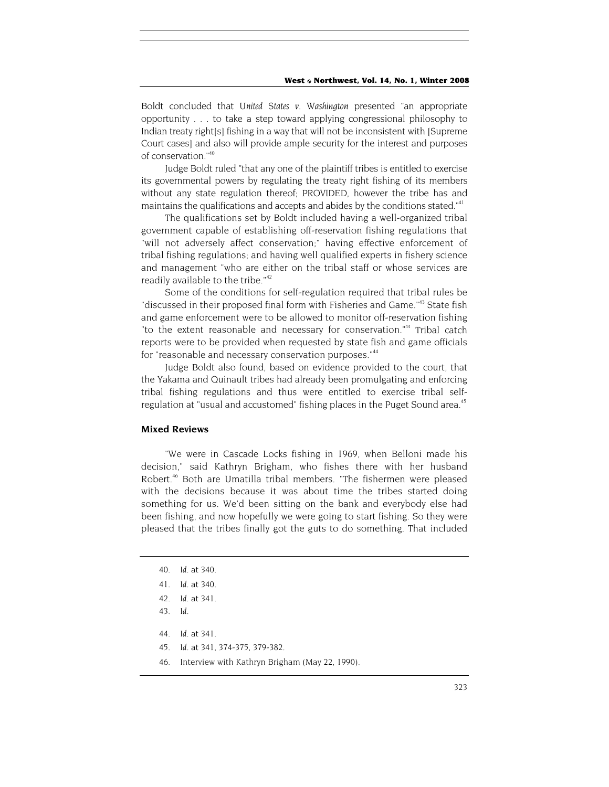Boldt concluded that *United States v. Washington* presented "an appropriate opportunity . . . to take a step toward applying congressional philosophy to Indian treaty right[s] fishing in a way that will not be inconsistent with [Supreme Court cases] and also will provide ample security for the interest and purposes of conservation."40

Judge Boldt ruled "that any one of the plaintiff tribes is entitled to exercise its governmental powers by regulating the treaty right fishing of its members without any state regulation thereof; PROVIDED, however the tribe has and maintains the qualifications and accepts and abides by the conditions stated."<sup>41</sup>

The qualifications set by Boldt included having a well-organized tribal government capable of establishing off-reservation fishing regulations that "will not adversely affect conservation;" having effective enforcement of tribal fishing regulations; and having well qualified experts in fishery science and management "who are either on the tribal staff or whose services are readily available to the tribe."<sup>42</sup>

Some of the conditions for self-regulation required that tribal rules be "discussed in their proposed final form with Fisheries and Game."<sup>43</sup> State fish and game enforcement were to be allowed to monitor off-reservation fishing "to the extent reasonable and necessary for conservation."<sup>44</sup> Tribal catch reports were to be provided when requested by state fish and game officials for "reasonable and necessary conservation purposes."<sup>44</sup>

Judge Boldt also found, based on evidence provided to the court, that the Yakama and Quinault tribes had already been promulgating and enforcing tribal fishing regulations and thus were entitled to exercise tribal selfregulation at "usual and accustomed" fishing places in the Puget Sound area.<sup>45</sup>

## **Mixed Reviews**

"We were in Cascade Locks fishing in 1969, when Belloni made his decision," said Kathryn Brigham, who fishes there with her husband Robert.<sup>46</sup> Both are Umatilla tribal members. "The fishermen were pleased with the decisions because it was about time the tribes started doing something for us. We'd been sitting on the bank and everybody else had been fishing, and now hopefully we were going to start fishing. So they were pleased that the tribes finally got the guts to do something. That included

- 44*. Id.* at 341.
- 45*. Id.* at 341, 374-375, 379-382.
- 46. Interview with Kathryn Brigham (May 22, 1990).

<sup>40</sup>*. Id.* at 340.

<sup>41</sup>*. Id.* at 340.

<sup>42</sup>*. Id.* at 341.

<sup>43</sup>*. Id.*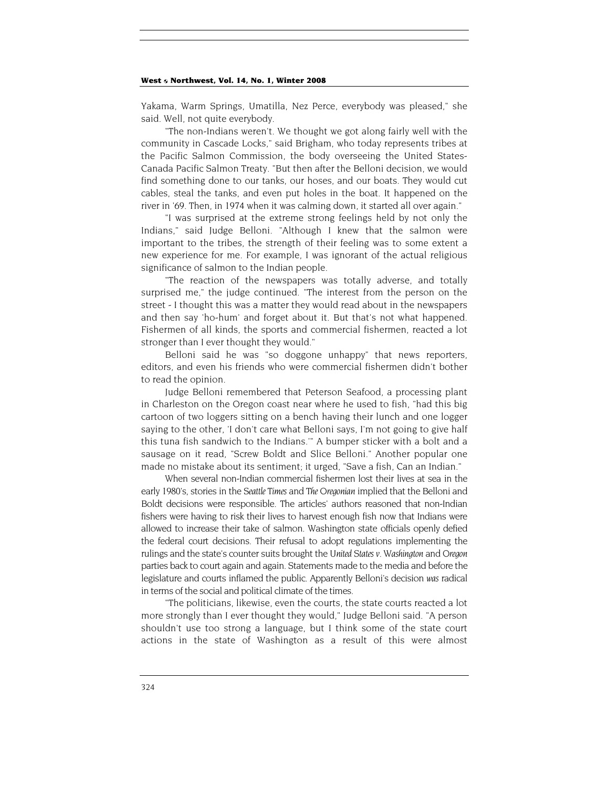Yakama, Warm Springs, Umatilla, Nez Perce, everybody was pleased," she said. Well, not quite everybody.

"The non-Indians weren't. We thought we got along fairly well with the community in Cascade Locks," said Brigham, who today represents tribes at the Pacific Salmon Commission, the body overseeing the United States-Canada Pacific Salmon Treaty. "But then after the Belloni decision, we would find something done to our tanks, our hoses, and our boats. They would cut cables, steal the tanks, and even put holes in the boat. It happened on the river in '69. Then, in 1974 when it was calming down, it started all over again."

"I was surprised at the extreme strong feelings held by not only the Indians," said Judge Belloni. "Although I knew that the salmon were important to the tribes, the strength of their feeling was to some extent a new experience for me. For example, I was ignorant of the actual religious significance of salmon to the Indian people.

"The reaction of the newspapers was totally adverse, and totally surprised me," the judge continued. "The interest from the person on the street - I thought this was a matter they would read about in the newspapers and then say 'ho-hum' and forget about it. But that's not what happened. Fishermen of all kinds, the sports and commercial fishermen, reacted a lot stronger than I ever thought they would."

Belloni said he was "so doggone unhappy" that news reporters, editors, and even his friends who were commercial fishermen didn't bother to read the opinion.

Judge Belloni remembered that Peterson Seafood, a processing plant in Charleston on the Oregon coast near where he used to fish, "had this big cartoon of two loggers sitting on a bench having their lunch and one logger saying to the other, 'I don't care what Belloni says, I'm not going to give half this tuna fish sandwich to the Indians.'" A bumper sticker with a bolt and a sausage on it read, "Screw Boldt and Slice Belloni." Another popular one made no mistake about its sentiment; it urged, "Save a fish, Can an Indian."

When several non-Indian commercial fishermen lost their lives at sea in the early 1980's, stories in the *Seattle Times* and *The Oregonian* implied that the Belloni and Boldt decisions were responsible. The articles' authors reasoned that non-Indian fishers were having to risk their lives to harvest enough fish now that Indians were allowed to increase their take of salmon. Washington state officials openly defied the federal court decisions. Their refusal to adopt regulations implementing the rulings and the state's counter suits brought the *United States v. Washington* and *Oregon* parties back to court again and again. Statements made to the media and before the legislature and courts inflamed the public. Apparently Belloni's decision *was* radical in terms of the social and political climate of the times.

"The politicians, likewise, even the courts, the state courts reacted a lot more strongly than I ever thought they would," Judge Belloni said. "A person shouldn't use too strong a language, but I think some of the state court actions in the state of Washington as a result of this were almost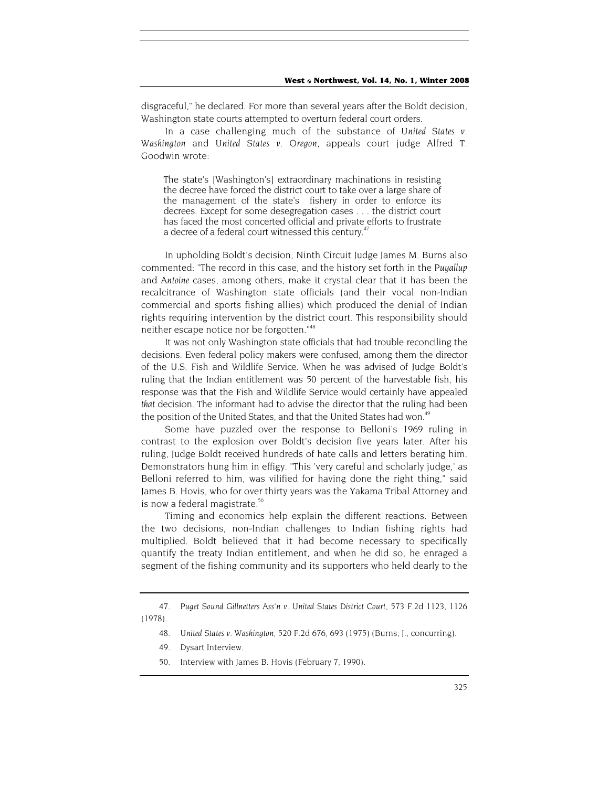disgraceful," he declared. For more than several years after the Boldt decision, Washington state courts attempted to overturn federal court orders.

In a case challenging much of the substance of *United States v. Washington* and *United States v. Oregon*, appeals court judge Alfred T. Goodwin wrote:

The state's [Washington's] extraordinary machinations in resisting the decree have forced the district court to take over a large share of the management of the state's fishery in order to enforce its decrees. Except for some desegregation cases . . . the district court has faced the most concerted official and private efforts to frustrate a decree of a federal court witnessed this century.<sup>47</sup>

In upholding Boldt's decision, Ninth Circuit Judge James M. Burns also commented: "The record in this case, and the history set forth in the *Puyallup* and *Antoine* cases, among others, make it crystal clear that it has been the recalcitrance of Washington state officials (and their vocal non-Indian commercial and sports fishing allies) which produced the denial of Indian rights requiring intervention by the district court. This responsibility should neither escape notice nor be forgotten."<sup>48</sup>

It was not only Washington state officials that had trouble reconciling the decisions. Even federal policy makers were confused, among them the director of the U.S. Fish and Wildlife Service. When he was advised of Judge Boldt's ruling that the Indian entitlement was 50 percent of the harvestable fish, his response was that the Fish and Wildlife Service would certainly have appealed *that* decision. The informant had to advise the director that the ruling had been the position of the United States, and that the United States had won.<sup>49</sup>

Some have puzzled over the response to Belloni's 1969 ruling in contrast to the explosion over Boldt's decision five years later. After his ruling, Judge Boldt received hundreds of hate calls and letters berating him. Demonstrators hung him in effigy. "This 'very careful and scholarly judge,' as Belloni referred to him, was vilified for having done the right thing," said James B. Hovis, who for over thirty years was the Yakama Tribal Attorney and is now a federal magistrate.<sup>50</sup>

Timing and economics help explain the different reactions. Between the two decisions, non-Indian challenges to Indian fishing rights had multiplied. Boldt believed that it had become necessary to specifically quantify the treaty Indian entitlement, and when he did so, he enraged a segment of the fishing community and its supporters who held dearly to the

<sup>47</sup>*. Puget Sound Gillnetters Ass'n v. United States District Court*, 573 F.2d 1123, 1126 (1978).

<sup>48</sup>*. United States v. Washington*, 520 F.2d 676, 693 (1975) (Burns, J., concurring).

<sup>49.</sup> Dysart Interview.

<sup>50.</sup> Interview with James B. Hovis (February 7, 1990).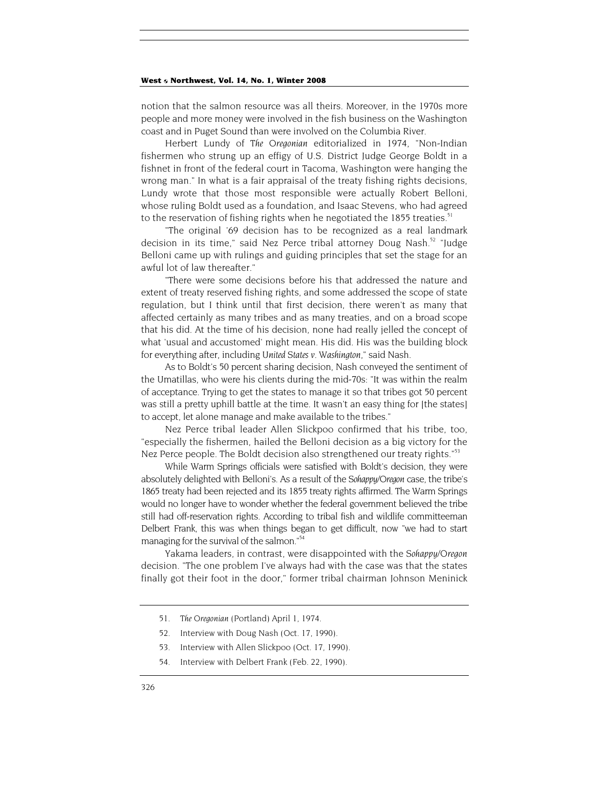notion that the salmon resource was all theirs. Moreover, in the 1970s more people and more money were involved in the fish business on the Washington coast and in Puget Sound than were involved on the Columbia River.

Herbert Lundy of *The Oregonian* editorialized in 1974, "Non-Indian fishermen who strung up an effigy of U.S. District Judge George Boldt in a fishnet in front of the federal court in Tacoma, Washington were hanging the wrong man." In what is a fair appraisal of the treaty fishing rights decisions, Lundy wrote that those most responsible were actually Robert Belloni, whose ruling Boldt used as a foundation, and Isaac Stevens, who had agreed to the reservation of fishing rights when he negotiated the 1855 treaties.<sup>51</sup>

"The original '69 decision has to be recognized as a real landmark decision in its time," said Nez Perce tribal attorney Doug Nash.<sup>52</sup> "Judge Belloni came up with rulings and guiding principles that set the stage for an awful lot of law thereafter."

"There were some decisions before his that addressed the nature and extent of treaty reserved fishing rights, and some addressed the scope of state regulation, but I think until that first decision, there weren't as many that affected certainly as many tribes and as many treaties, and on a broad scope that his did. At the time of his decision, none had really jelled the concept of what 'usual and accustomed' might mean. His did. His was the building block for everything after, including *United States v. Washington*," said Nash.

As to Boldt's 50 percent sharing decision, Nash conveyed the sentiment of the Umatillas, who were his clients during the mid-70s: "It was within the realm of acceptance. Trying to get the states to manage it so that tribes got 50 percent was still a pretty uphill battle at the time. It wasn't an easy thing for [the states] to accept, let alone manage and make available to the tribes."

Nez Perce tribal leader Allen Slickpoo confirmed that his tribe, too, "especially the fishermen, hailed the Belloni decision as a big victory for the Nez Perce people. The Boldt decision also strengthened our treaty rights."<sup>53</sup>

While Warm Springs officials were satisfied with Boldt's decision, they were absolutely delighted with Belloni's. As a result of the *Sohappy/Oregon* case, the tribe's 1865 treaty had been rejected and its 1855 treaty rights affirmed. The Warm Springs would no longer have to wonder whether the federal government believed the tribe still had off-reservation rights. According to tribal fish and wildlife committeeman Delbert Frank, this was when things began to get difficult, now "we had to start managing for the survival of the salmon."<sup>54</sup>

Yakama leaders, in contrast, were disappointed with the *Sohappy/Oregon* decision. "The one problem I've always had with the case was that the states finally got their foot in the door," former tribal chairman Johnson Meninick

- 52. Interview with Doug Nash (Oct. 17, 1990).
- 53. Interview with Allen Slickpoo (Oct. 17, 1990).
- 54. Interview with Delbert Frank (Feb. 22, 1990).

<sup>51</sup>*. The Oregonian* (Portland) April 1, 1974.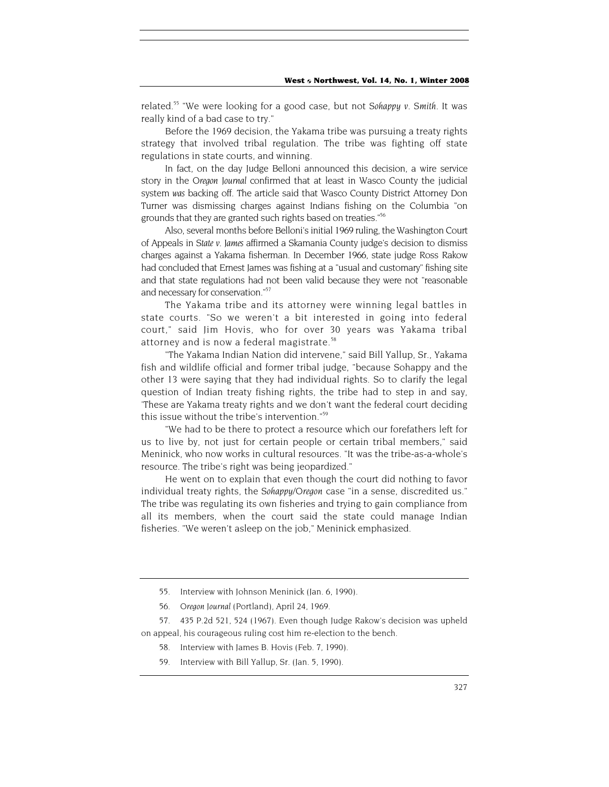related.55 "We were looking for a good case, but not *Sohappy v. Smith*. It was really kind of a bad case to try."

Before the 1969 decision, the Yakama tribe was pursuing a treaty rights strategy that involved tribal regulation. The tribe was fighting off state regulations in state courts, and winning.

In fact, on the day Judge Belloni announced this decision, a wire service story in the *Oregon Journal* confirmed that at least in Wasco County the judicial system *was* backing off. The article said that Wasco County District Attorney Don Turner was dismissing charges against Indians fishing on the Columbia "on grounds that they are granted such rights based on treaties."56

Also, several months before Belloni's initial 1969 ruling, the Washington Court of Appeals in *State v. James* affirmed a Skamania County judge's decision to dismiss charges against a Yakama fisherman. In December 1966, state judge Ross Rakow had concluded that Ernest James was fishing at a "usual and customary" fishing site and that state regulations had not been valid because they were not "reasonable and necessary for conservation."<sup>57</sup>

The Yakama tribe and its attorney were winning legal battles in state courts. "So we weren't a bit interested in going into federal court," said Jim Hovis, who for over 30 years was Yakama tribal attorney and is now a federal magistrate.<sup>58</sup>

"The Yakama Indian Nation did intervene," said Bill Yallup, Sr., Yakama fish and wildlife official and former tribal judge, "because Sohappy and the other 13 were saying that they had individual rights. So to clarify the legal question of Indian treaty fishing rights, the tribe had to step in and say, 'These are Yakama treaty rights and we don't want the federal court deciding this issue without the tribe's intervention."59

"We had to be there to protect a resource which our forefathers left for us to live by, not just for certain people or certain tribal members," said Meninick, who now works in cultural resources. "It was the tribe-as-a-whole's resource. The tribe's right was being jeopardized."

He went on to explain that even though the court did nothing to favor individual treaty rights, the *Sohappy/Oregon* case "in a sense, discredited us." The tribe was regulating its own fisheries and trying to gain compliance from all its members, when the court said the state could manage Indian fisheries. "We weren't asleep on the job," Meninick emphasized.

57. 435 P.2d 521, 524 (1967). Even though Judge Rakow's decision was upheld on appeal, his courageous ruling cost him re-election to the bench.

- 58. Interview with James B. Hovis (Feb. 7, 1990).
- 59. Interview with Bill Yallup, Sr. (Jan. 5, 1990).

<sup>55.</sup> Interview with Johnson Meninick (Jan. 6, 1990).

<sup>56</sup>*. Oregon Journal* (Portland), April 24, 1969.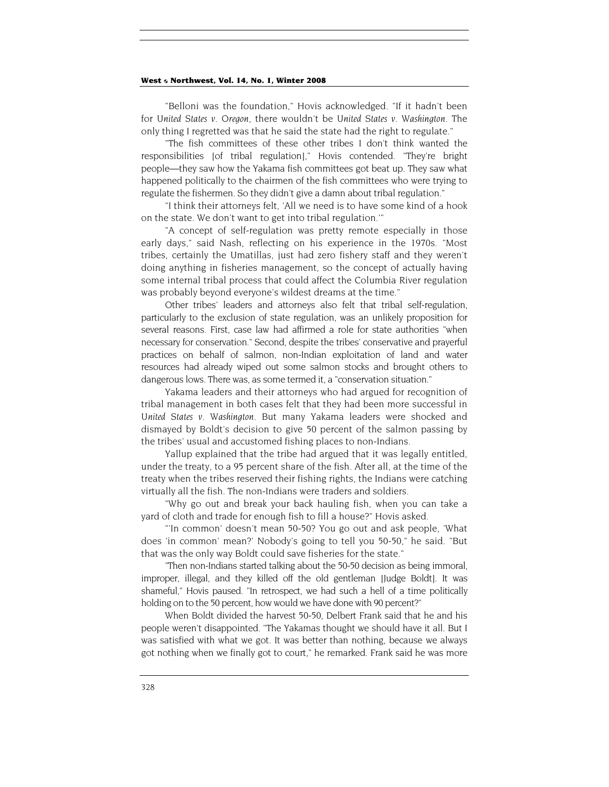"Belloni was the foundation," Hovis acknowledged. "If it hadn't been for *United States v. Oregon*, there wouldn't be *United States v. Washington*. The only thing I regretted was that he said the state had the right to regulate."

"The fish committees of these other tribes I don't think wanted the responsibilities [of tribal regulation]," Hovis contended. "They're bright people—they saw how the Yakama fish committees got beat up. They saw what happened politically to the chairmen of the fish committees who were trying to regulate the fishermen. So they didn't give a damn about tribal regulation."

"I think their attorneys felt, 'All we need is to have some kind of a hook on the state. We don't want to get into tribal regulation.'"

"A concept of self-regulation was pretty remote especially in those early days," said Nash, reflecting on his experience in the 1970s. "Most tribes, certainly the Umatillas, just had zero fishery staff and they weren't doing anything in fisheries management, so the concept of actually having some internal tribal process that could affect the Columbia River regulation was probably beyond everyone's wildest dreams at the time."

Other tribes' leaders and attorneys also felt that tribal self-regulation, particularly to the exclusion of state regulation, was an unlikely proposition for several reasons. First, case law had affirmed a role for state authorities "when necessary for conservation." Second, despite the tribes' conservative and prayerful practices on behalf of salmon, non-Indian exploitation of land and water resources had already wiped out some salmon stocks and brought others to dangerous lows. There was, as some termed it, a "conservation situation."

Yakama leaders and their attorneys who had argued for recognition of tribal management in both cases felt that they had been more successful in *United States v. Washington*. But many Yakama leaders were shocked and dismayed by Boldt's decision to give 50 percent of the salmon passing by the tribes' usual and accustomed fishing places to non-Indians.

Yallup explained that the tribe had argued that it was legally entitled, under the treaty, to a 95 percent share of the fish. After all, at the time of the treaty when the tribes reserved their fishing rights, the Indians were catching virtually all the fish. The non-Indians were traders and soldiers.

"Why go out and break your back hauling fish, when you can take a yard of cloth and trade for enough fish to fill a house?" Hovis asked.

"'In common' doesn't mean 50-50? You go out and ask people, 'What does 'in common' mean?' Nobody's going to tell you 50-50," he said. "But that was the only way Boldt could save fisheries for the state."

"Then non-Indians started talking about the 50-50 decision as being immoral, improper, illegal, and they killed off the old gentleman [Judge Boldt]. It was shameful," Hovis paused. "In retrospect, we had such a hell of a time politically holding on to the 50 percent, how would we have done with 90 percent?"

When Boldt divided the harvest 50-50, Delbert Frank said that he and his people weren't disappointed. "The Yakamas thought we should have it all. But I was satisfied with what we got. It was better than nothing, because we always got nothing when we finally got to court," he remarked. Frank said he was more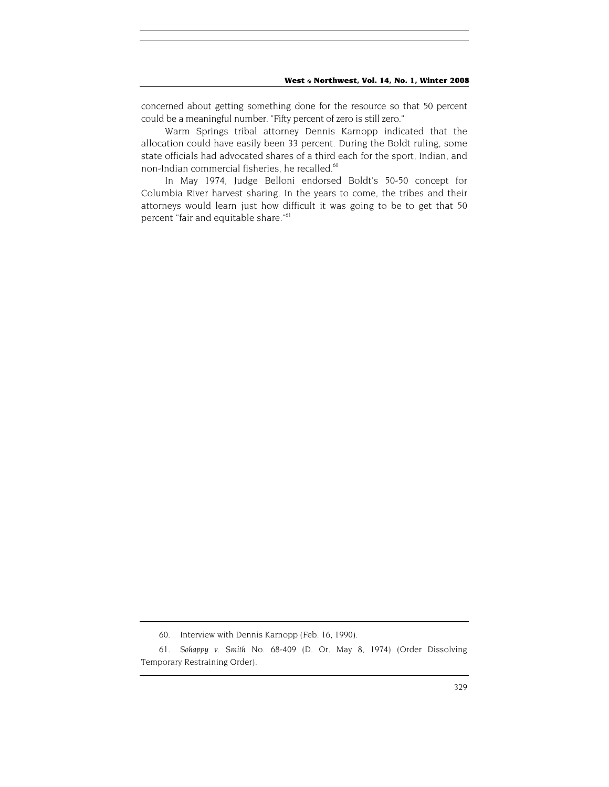concerned about getting something done for the resource so that 50 percent could be a meaningful number. "Fifty percent of zero is still zero."

Warm Springs tribal attorney Dennis Karnopp indicated that the allocation could have easily been 33 percent. During the Boldt ruling, some state officials had advocated shares of a third each for the sport, Indian, and non-Indian commercial fisheries, he recalled.<sup>60</sup>

In May 1974, Judge Belloni endorsed Boldt's 50-50 concept for Columbia River harvest sharing. In the years to come, the tribes and their attorneys would learn just how difficult it was going to be to get that 50 percent "fair and equitable share."<sup>61</sup>

<sup>60.</sup> Interview with Dennis Karnopp (Feb. 16, 1990).

<sup>61</sup>*. Sohappy v. Smith* No. 68-409 (D. Or. May 8, 1974) (Order Dissolving Temporary Restraining Order).